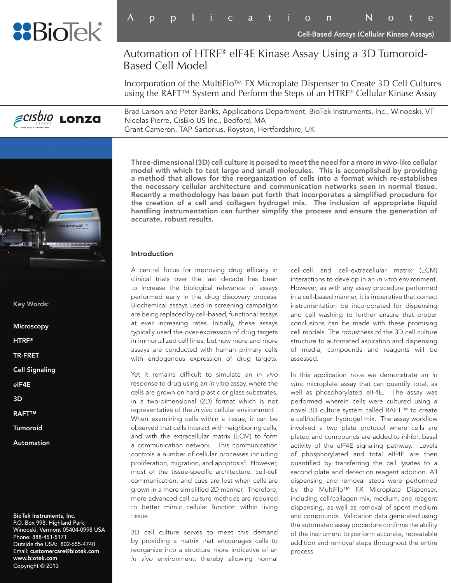

# Automation of HTRF® elF4E Kinase Assay Using a 3D Tumoroid-Based Cell Model

Incorporation of the MultiFlo™ FX Microplate Dispenser to Create 3D Cell Cultures using the RAFT™ System and Perform the Steps of an HTRF® Cellular Kinase Assay

Brad Larson and Peter Banks, Applications Department, BioTek Instruments, Inc., Winooski, VT *ECISOIO LONZA* Nicolas Pierre, CisBio US Inc., Bedford, MA Grant Cameron, TAP-Sartorius, Royston, Hertfordshire, UK



Key Words:

**Microscopy** 

HTRF®

TR-FRET

Cell Signaling

eIF4E

- 3D
- RAFT™
- Tumoroid
- Automation

BioTek Instruments, Inc. P.O. Box 998, Highland Park, Winooski, Vermont 05404-0998 USA Phone: 888-451-5171 Outside the USA: 802-655-4740 Email: customercare@biotek.com www.biotek.com Copyright © 2013

Three-dimensional (3D) cell culture is poised to meet the need for a more *in vivo*-like cellular model with which to test large and small molecules. This is accomplished by providing a method that allows for the reorganization of cells into a format which re-establishes the necessary cellular architecture and communication networks seen in normal tissue. Recently a methodology has been put forth that incorporates a simplified procedure for the creation of a cell and collagen hydrogel mix. The inclusion of appropriate liquid handling instrumentation can further simplify the process and ensure the generation of accurate, robust results.

#### Introduction

A central focus for improving drug efficacy in clinical trials over the last decade has been to increase the biological relevance of assays performed early in the drug discovery process. Biochemical assays used in screening campaigns are being replaced by cell-based, functional assays at ever increasing rates. Initially, these assays typically used the over-expression of drug targets in immortalized cell lines; but now more and more assays are conducted with human primary cells with endogenous expression of drug targets.

Yet it remains difficult to simulate an *in vivo* response to drug using an *in vitro* assay, where the cells are grown on hard plastic or glass substrates, in a two-dimensional (2D) format which is not representative of the *in vivo* cellular environment<sup>1</sup>. When examining cells within a tissue, it can be observed that cells interact with neighboring cells, and with the extracellular matrix (ECM) to form a communication network. This communication controls a number of cellular processes including proliferation, migration, and apoptosis<sup>2</sup>. However, most of the tissue-specific architecture, cell-cell communication, and cues are lost when cells are grown in a more simplified 2D manner. Therefore, more advanced cell culture methods are required to better mimic cellular function within living tissue.

3D cell culture serves to meet this demand by providing a matrix that encourages cells to reorganize into a structure more indicative of an *in vivo* environment; thereby allowing normal

cell-cell and cell-extracellular matrix (ECM) interactions to develop in an *in vitro* environment. However, as with any assay procedure performed in a cell-based manner, it is imperative that correct instrumentation be incorporated for dispensing and cell washing to further ensure that proper conclusions can be made with these promising cell models. The robustness of the 3D cell culture structure to automated aspiration and dispensing of media, compounds and reagents will be assessed.

In this application note we demonstrate an *in vitro* microplate assay that can quantify total, as well as phosphorylated eIF4E. The assay was performed wherein cells were cultured using a novel 3D culture system called RAFT™ to create a cell/collagen hydrogel mix. The assay workflow involved a two plate protocol where cells are plated and compounds are added to inhibit basal activity of the eIF4E signaling pathway. Levels of phosphorylated and total eIF4E are then quantified by transferring the cell lysates to a second plate and detection reagent addition. All dispensing and removal steps were performed by the MultiFlo™ FX Microplate Dispenser, including cell/collagen mix, medium, and reagent dispensing, as well as removal of spent medium and compounds. Validation data generated using the automated assay procedure confirms the ability of the instrument to perform accurate, repeatable addition and removal steps throughout the entire process.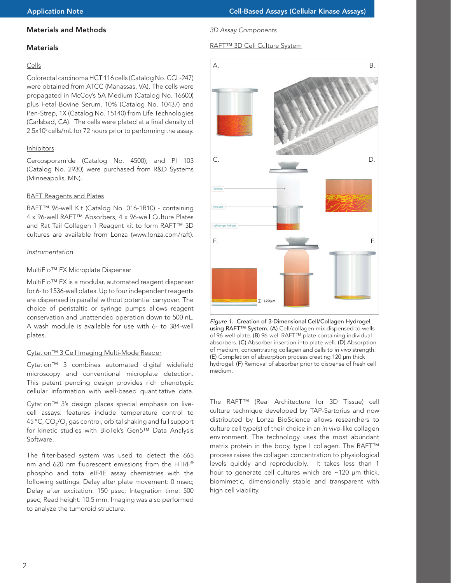# Materials and Methods

# **Materials**

#### Cells

Colorectal carcinoma HCT 116 cells (Catalog No. CCL-247) were obtained from ATCC (Manassas, VA). The cells were propagated in McCoy's 5A Medium (Catalog No. 16600) plus Fetal Bovine Serum, 10% (Catalog No. 10437) and Pen-Strep, 1X (Catalog No. 15140) from Life Technologies (Carlsbad, CA). The cells were plated at a final density of 2.5x10<sup>5</sup> cells/mL for 72 hours prior to performing the assay.

#### Inhibitors

Cercosporamide (Catalog No. 4500), and PI 103 (Catalog No. 2930) were purchased from R&D Systems (Minneapolis, MN).

#### RAFT Reagents and Plates

RAFT™ 96-well Kit (Catalog No. 016-1R10) - containing 4 x 96-well RAFT™ Absorbers, 4 x 96-well Culture Plates and Rat Tail Collagen 1 Reagent kit to form RAFT™ 3D cultures are available from Lonza (www.lonza.com/raft).

#### *Instrumentation*

#### MultiFlo™ FX Microplate Dispenser

MultiFlo™ FX is a modular, automated reagent dispenser for 6- to 1536-well plates. Up to four independent reagents are dispensed in parallel without potential carryover. The choice of peristaltic or syringe pumps allows reagent conservation and unattended operation down to 500 nL. A wash module is available for use with 6- to 384-well plates.

## Cytation™ 3 Cell Imaging Multi-Mode Reader

Cytation™ 3 combines automated digital widefield microscopy and conventional microplate detection. This patent pending design provides rich phenotypic cellular information with well-based quantitative data.

Cytation™ 3's design places special emphasis on livecell assays: features include temperature control to 45 °C, CO $_{\rm 2}$ /O $_{\rm 2}$  gas control, orbital shaking and full support for kinetic studies with BioTek's Gen5™ Data Analysis Software.

The filter-based system was used to detect the 665 nm and 620 nm fluorescent emissions from the HTRF® phospho and total eIF4E assay chemistries with the following settings: Delay after plate movement: 0 msec; Delay after excitation: 150 μsec; Integration time: 500 μsec; Read height: 10.5 mm. Imaging was also performed to analyze the tumoroid structure.

#### *3D Assay Components*

## RAFT™ 3D Cell Culture System



*Figure 1.* Creation of 3-Dimensional Cell/Collagen Hydrogel using RAFT™ System. (A) Cell/collagen mix dispensed to wells of 96-well plate. (B) 96-well RAFT™ plate containing individual absorbers. (C) Absorber insertion into plate well. (D) Absorption of medium, concentrating collagen and cells to *in vivo* strength. (E) Completion of absorption process creating 120 µm thick hydrogel. (F) Removal of absorber prior to dispense of fresh cell medium.

The RAFT™ (Real Architecture for 3D Tissue) cell culture technique developed by TAP-Sartorius and now distributed by Lonza BioScience allows researchers to culture cell type(s) of their choice in an *in vivo*-like collagen environment. The technology uses the most abundant matrix protein in the body, type I collagen. The RAFT™ process raises the collagen concentration to physiological levels quickly and reproducibly. It takes less than 1 hour to generate cell cultures which are ~120 µm thick, biomimetic, dimensionally stable and transparent with high cell viability.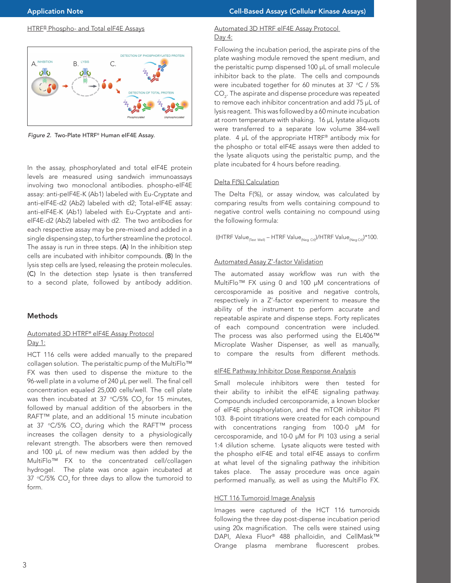# **HTRE<sup>®</sup> Phospho- and Total elF4E Assays**



*Figure 2.* Two-Plate HTRF® Human eIF4E Assay.

In the assay, phosphorylated and total eIF4E protein levels are measured using sandwich immunoassays involving two monoclonal antibodies. phospho-eIF4E assay: anti-peIF4E-K (Ab1) labeled with Eu-Cryptate and anti-eIF4E-d2 (Ab2) labeled with d2; Total-eIF4E assay: anti-eIF4E-K (Ab1) labeled with Eu-Cryptate and antieIF4E-d2 (Ab2) labeled with d2. The two antibodies for each respective assay may be pre-mixed and added in a single dispensing step, to further streamline the protocol. The assay is run in three steps. (A) In the inhibition step cells are incubated with inhibitor compounds. (B) In the lysis step cells are lysed, releasing the protein molecules. (C) In the detection step lysate is then transferred to a second plate, followed by antibody addition.

# Methods

# Automated 3D HTRF® elF4E Assay Protocol Day 1:

HCT 116 cells were added manually to the prepared collagen solution. The peristaltic pump of the MultiFlo™ FX was then used to dispense the mixture to the 96-well plate in a volume of 240 µL per well. The final cell concentration equaled 25,000 cells/well. The cell plate was then incubated at 37  $\degree$ C/5% CO<sub>2</sub> for 15 minutes, followed by manual addition of the absorbers in the RAFT™ plate, and an additional 15 minute incubation at 37 °C/5% CO<sub>2</sub> during which the RAFT<sup>™</sup> process increases the collagen density to a physiologically relevant strength. The absorbers were then removed and 100 µL of new medium was then added by the MultiFlo™ FX to the concentrated cell/collagen hydrogel. The plate was once again incubated at 37  $\degree$ C/5% CO<sub>2</sub> for three days to allow the tumoroid to form.

## Automated 3D HTRF elF4E Assay Protocol Day 4:

Following the incubation period, the aspirate pins of the plate washing module removed the spent medium, and the peristaltic pump dispensed 100 µL of small molecule inhibitor back to the plate. The cells and compounds were incubated together for 60 minutes at 37  $\degree$ C / 5%  $\mathsf{CO}_2$ . The aspirate and dispense procedure was repeated to remove each inhibitor concentration and add 75 µL of lysis reagent. This was followed by a 60 minute incubation at room temperature with shaking. 16 µL lystate aliquots were transferred to a separate low volume 384-well plate. 4 µL of the appropriate HTRF® antibody mix for the phospho or total eIF4E assays were then added to the lysate aliquots using the peristaltic pump, and the plate incubated for 4 hours before reading.

# Delta F(%) Calculation

The Delta F(%), or assay window, was calculated by comparing results from wells containing compound to negative control wells containing no compound using the following formula:

((HTRF Value $_{\text{(Test Well)}}$  – HTRF Value $_{\text{(Neg Ctl)}}$ )/HTRF Value $_{\text{(Neg Ctl)}}$ )\*100.

# Automated Assay Z'-factor Validation

The automated assay workflow was run with the MultiFlo™ FX using 0 and 100 μM concentrations of cercosporamide as positive and negative controls, respectively in a Z'-factor experiment to measure the ability of the instrument to perform accurate and repeatable aspirate and dispense steps. Forty replicates of each compound concentration were included. The process was also performed using the EL406™ Microplate Washer Dispenser, as well as manually, to compare the results from different methods.

## eIF4E Pathway Inhibitor Dose Response Analysis

Small molecule inhibitors were then tested for their ability to inhibit the eIF4E signaling pathway. Compounds included cercosporamide, a known blocker of eIF4E phosphorylation, and the mTOR inhibitor PI 103. 8-point titrations were created for each compound with concentrations ranging from 100-0 µM for cercosporamide, and 10-0 µM for PI 103 using a serial 1:4 dilution scheme. Lysate aliquots were tested with the phospho eIF4E and total eIF4E assays to confirm at what level of the signaling pathway the inhibition takes place. The assay procedure was once again performed manually, as well as using the MultiFlo FX.

# **HCT 116 Tumoroid Image Analysis**

Images were captured of the HCT 116 tumoroids following the three day post-dispense incubation period using 20x magnification. The cells were stained using DAPI, Alexa Fluor® 488 phalloidin, and CellMask™ Orange plasma membrane fluorescent probes.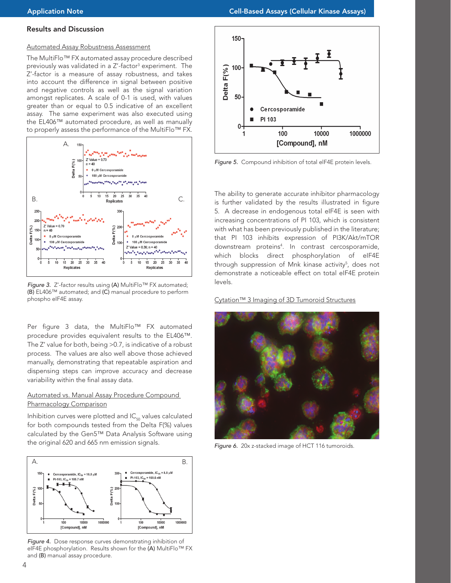#### Results and Discussion

# Automated Assay Robustness Assessment

The MultiFlo™ FX automated assay procedure described previously was validated in a Z'-factor<sup>3</sup> experiment. The Z'-factor is a measure of assay robustness, and takes into account the difference in signal between positive and negative controls as well as the signal variation amongst replicates. A scale of 0-1 is used, with values greater than or equal to 0.5 indicative of an excellent assay. The same experiment was also executed using the EL406™ automated procedure, as well as manually to properly assess the performance of the MultiFlo™ FX.



*Figure 3.* Z'-factor results using (A) MultiFlo™ FX automated; (B) EL406™ automated; and (C) manual procedure to perform phospho eIF4E assay.

Per figure 3 data, the MultiFlo™ FX automated procedure provides equivalent results to the EL406™. The Z' value for both, being >0.7, is indicative of a robust process. The values are also well above those achieved manually, demonstrating that repeatable aspiration and dispensing steps can improve accuracy and decrease variability within the final assay data.

## Automated vs. Manual Assay Procedure Compound Pharmacology Comparison

Inhibition curves were plotted and  $IC_{50}$  values calculated for both compounds tested from the Delta F(%) values calculated by the Gen5™ Data Analysis Software using the original 620 and 665 nm emission signals.



*Figure 4.* Dose response curves demonstrating inhibition of eIF4E phosphorylation. Results shown for the (A) MultiFlo™ FX and (B) manual assay procedure.



*Figure 5.* Compound inhibition of total elF4E protein levels.

The ability to generate accurate inhibitor pharmacology is further validated by the results illustrated in figure 5. A decrease in endogenous total eIF4E is seen with increasing concentrations of PI 103, which is consistent with what has been previously published in the literature; that PI 103 inhibits expression of PI3K/Akt/mTOR downstream proteins4 . In contrast cercosporamide, which blocks direct phosphorylation of eIF4E through suppression of Mnk kinase activity<sup>5</sup>, does not demonstrate a noticeable effect on total eIF4E protein levels.

#### Cytation™ 3 Imaging of 3D Tumoroid Structures



*Figure 6.* 20x z-stacked image of HCT 116 tumoroids.